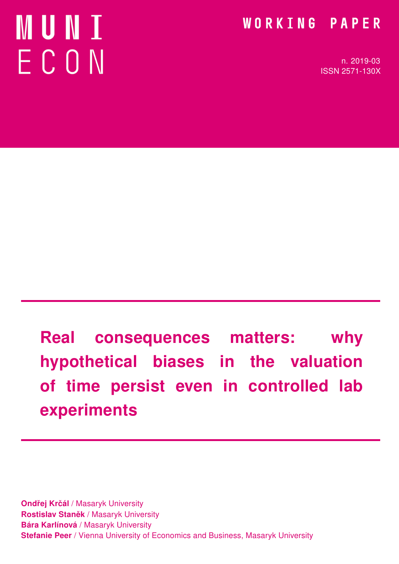# MUNT ECON

## WORKING PAPER

n. 2019-03 ISSN 2571-130X

Real consequences matters: why hypothetical biases in the valuation of time persist even in controlled lab experiments

Ondřej Krčál / Masaryk University Rostislav Staněk / Masaryk University Bára Karlínová / Masaryk University **Stefanie Peer** / Vienna University of Economics and Business, Masaryk University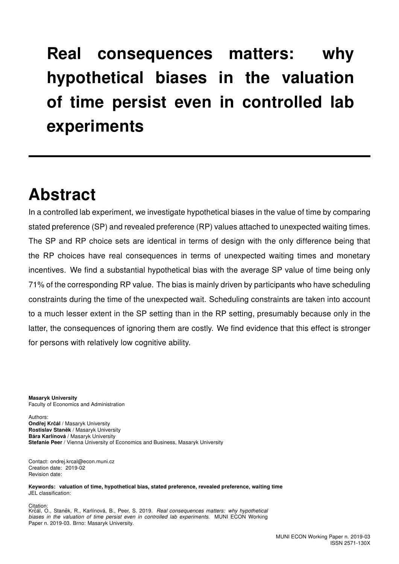# Real consequences matters: why hypothetical biases in the valuation of time persist even in controlled lab experiments

# Abstract

In a controlled lab experiment, we investigate hypothetical biases in the value of time by comparing stated preference (SP) and revealed preference (RP) values attached to unexpected waiting times. The SP and RP choice sets are identical in terms of design with the only difference being that the RP choices have real consequences in terms of unexpected waiting times and monetary incentives. We find a substantial hypothetical bias with the average SP value of time being only 71% of the corresponding RP value. The bias is mainly driven by participants who have scheduling constraints during the time of the unexpected wait. Scheduling constraints are taken into account to a much lesser extent in the SP setting than in the RP setting, presumably because only in the latter, the consequences of ignoring them are costly. We find evidence that this effect is stronger for persons with relatively low cognitive ability.

Masaryk University Faculty of Economics and Administration

Authors: Ondřej Krčál / Masaryk University Rostislav Staněk / Masaryk University Bára Karlínová / Masaryk University Stefanie Peer / Vienna University of Economics and Business, Masaryk University

Contact: ondrej.krcal@econ.muni.cz Creation date: 2019-02 Revision date:

Keywords: valuation of time, hypothetical bias, stated preference, revealed preference, waiting time JEL classification:

**Citation** Krčál, O., Staněk, R., Karlínová, B., Peer, S. 2019. Real consequences matters: why hypothetical biases in the valuation of time persist even in controlled lab experiments. MUNI ECON Working Paper n. 2019-03. Brno: Masaryk University.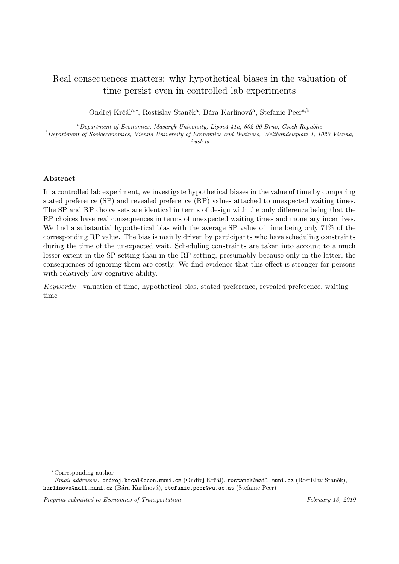## Real consequences matters: why hypothetical biases in the valuation of time persist even in controlled lab experiments

Ondřej Krčál<sup>a,∗</sup>, Rostislav Staněk<sup>a</sup>, Bára Karlínová<sup>a</sup>, Stefanie Peer<sup>a,b</sup>

 ${}^a$ Department of Economics, Masaryk University, Lipová 41a, 602 00 Brno, Czech Republic

 $^{b}$ Department of Socioeconomics, Vienna University of Economics and Business, Welthandelsplatz 1, 1020 Vienna, Austria

#### Abstract

In a controlled lab experiment, we investigate hypothetical biases in the value of time by comparing stated preference (SP) and revealed preference (RP) values attached to unexpected waiting times. The SP and RP choice sets are identical in terms of design with the only difference being that the RP choices have real consequences in terms of unexpected waiting times and monetary incentives. We find a substantial hypothetical bias with the average SP value of time being only 71% of the corresponding RP value. The bias is mainly driven by participants who have scheduling constraints during the time of the unexpected wait. Scheduling constraints are taken into account to a much lesser extent in the SP setting than in the RP setting, presumably because only in the latter, the consequences of ignoring them are costly. We find evidence that this effect is stronger for persons with relatively low cognitive ability.

Keywords: valuation of time, hypothetical bias, stated preference, revealed preference, waiting time

Preprint submitted to Economics of Transportation February 13, 2019

<sup>∗</sup>Corresponding author

Email addresses: ondrej.krcal@econ.muni.cz (Ondřej Krčál), rostanek@mail.muni.cz (Rostislav Staněk), karlinova@mail.muni.cz (Bára Karlínová), stefanie.peer@wu.ac.at (Stefanie Peer)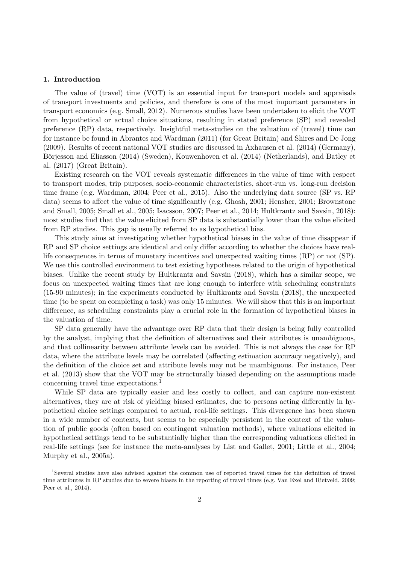#### 1. Introduction

The value of (travel) time (VOT) is an essential input for transport models and appraisals of transport investments and policies, and therefore is one of the most important parameters in transport economics (e.g. Small, 2012). Numerous studies have been undertaken to elicit the VOT from hypothetical or actual choice situations, resulting in stated preference (SP) and revealed preference (RP) data, respectively. Insightful meta-studies on the valuation of (travel) time can for instance be found in Abrantes and Wardman (2011) (for Great Britain) and Shires and De Jong (2009). Results of recent national VOT studies are discussed in Axhausen et al. (2014) (Germany), Börjesson and Eliasson (2014) (Sweden), Kouwenhoven et al. (2014) (Netherlands), and Batley et al. (2017) (Great Britain).

Existing research on the VOT reveals systematic differences in the value of time with respect to transport modes, trip purposes, socio-economic characteristics, short-run vs. long-run decision time frame (e.g. Wardman, 2004; Peer et al., 2015). Also the underlying data source (SP vs. RP data) seems to affect the value of time significantly (e.g. Ghosh, 2001; Hensher, 2001; Brownstone and Small, 2005; Small et al., 2005; Isacsson, 2007; Peer et al., 2014; Hultkrantz and Savsin, 2018): most studies find that the value elicited from SP data is substantially lower than the value elicited from RP studies. This gap is usually referred to as hypothetical bias.

This study aims at investigating whether hypothetical biases in the value of time disappear if RP and SP choice settings are identical and only differ according to whether the choices have reallife consequences in terms of monetary incentives and unexpected waiting times (RP) or not (SP). We use this controlled environment to test existing hypotheses related to the origin of hypothetical biases. Unlike the recent study by Hultkrantz and Savsin (2018), which has a similar scope, we focus on unexpected waiting times that are long enough to interfere with scheduling constraints (15-90 minutes); in the experiments conducted by Hultkrantz and Savsin (2018), the unexpected time (to be spent on completing a task) was only 15 minutes. We will show that this is an important difference, as scheduling constraints play a crucial role in the formation of hypothetical biases in the valuation of time.

SP data generally have the advantage over RP data that their design is being fully controlled by the analyst, implying that the definition of alternatives and their attributes is unambiguous, and that collinearity between attribute levels can be avoided. This is not always the case for RP data, where the attribute levels may be correlated (affecting estimation accuracy negatively), and the definition of the choice set and attribute levels may not be unambiguous. For instance, Peer et al. (2013) show that the VOT may be structurally biased depending on the assumptions made concerning travel time expectations.<sup>1</sup>

While SP data are typically easier and less costly to collect, and can capture non-existent alternatives, they are at risk of yielding biased estimates, due to persons acting differently in hypothetical choice settings compared to actual, real-life settings. This divergence has been shown in a wide number of contexts, but seems to be especially persistent in the context of the valuation of public goods (often based on contingent valuation methods), where valuations elicited in hypothetical settings tend to be substantially higher than the corresponding valuations elicited in real-life settings (see for instance the meta-analyses by List and Gallet, 2001; Little et al., 2004; Murphy et al., 2005a).

<sup>1</sup>Several studies have also advised against the common use of reported travel times for the definition of travel time attributes in RP studies due to severe biases in the reporting of travel times (e.g. Van Exel and Rietveld, 2009; Peer et al., 2014).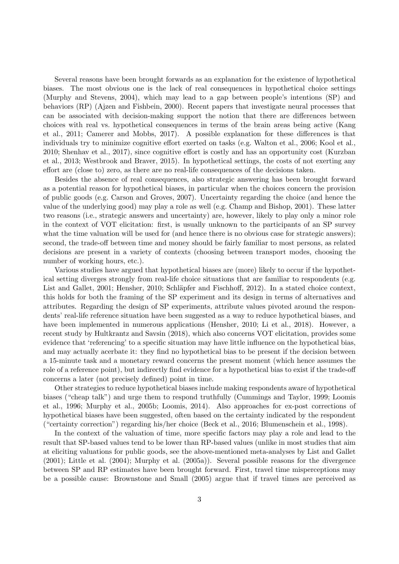Several reasons have been brought forwards as an explanation for the existence of hypothetical biases. The most obvious one is the lack of real consequences in hypothetical choice settings (Murphy and Stevens, 2004), which may lead to a gap between people's intentions (SP) and behaviors (RP) (Ajzen and Fishbein, 2000). Recent papers that investigate neural processes that can be associated with decision-making support the notion that there are differences between choices with real vs. hypothetical consequences in terms of the brain areas being active (Kang et al., 2011; Camerer and Mobbs, 2017). A possible explanation for these differences is that individuals try to minimize cognitive effort exerted on tasks (e.g. Walton et al., 2006; Kool et al., 2010; Shenhav et al., 2017), since cognitive effort is costly and has an opportunity cost (Kurzban et al., 2013; Westbrook and Braver, 2015). In hypothetical settings, the costs of not exerting any effort are (close to) zero, as there are no real-life consequences of the decisions taken.

Besides the absence of real consequences, also strategic answering has been brought forward as a potential reason for hypothetical biases, in particular when the choices concern the provision of public goods (e.g. Carson and Groves, 2007). Uncertainty regarding the choice (and hence the value of the underlying good) may play a role as well (e.g. Champ and Bishop, 2001). These latter two reasons (i.e., strategic answers and uncertainty) are, however, likely to play only a minor role in the context of VOT elicitation: first, is usually unknown to the participants of an SP survey what the time valuation will be used for (and hence there is no obvious case for strategic answers); second, the trade-off between time and money should be fairly familiar to most persons, as related decisions are present in a variety of contexts (choosing between transport modes, choosing the number of working hours, etc.).

Various studies have argued that hypothetical biases are (more) likely to occur if the hypothetical setting diverges strongly from real-life choice situations that are familiar to respondents (e.g. List and Gallet, 2001; Hensher, 2010; Schläpfer and Fischhoff, 2012). In a stated choice context, this holds for both the framing of the SP experiment and its design in terms of alternatives and attributes. Regarding the design of SP experiments, attribute values pivoted around the respondents' real-life reference situation have been suggested as a way to reduce hypothetical biases, and have been implemented in numerous applications (Hensher, 2010; Li et al., 2018). However, a recent study by Hultkrantz and Savsin (2018), which also concerns VOT elicitation, provides some evidence that 'referencing' to a specific situation may have little influence on the hypothetical bias, and may actually acerbate it: they find no hypothetical bias to be present if the decision between a 15-minute task and a monetary reward concerns the present moment (which hence assumes the role of a reference point), but indirectly find evidence for a hypothetical bias to exist if the trade-off concerns a later (not precisely defined) point in time.

Other strategies to reduce hypothetical biases include making respondents aware of hypothetical biases ("cheap talk") and urge them to respond truthfully (Cummings and Taylor, 1999; Loomis et al., 1996; Murphy et al., 2005b; Loomis, 2014). Also approaches for ex-post corrections of hypothetical biases have been suggested, often based on the certainty indicated by the respondent ("certainty correction") regarding his/her choice (Beck et al., 2016; Blumenschein et al., 1998).

In the context of the valuation of time, more specific factors may play a role and lead to the result that SP-based values tend to be lower than RP-based values (unlike in most studies that aim at eliciting valuations for public goods, see the above-mentioned meta-analyses by List and Gallet (2001); Little et al. (2004); Murphy et al. (2005a)). Several possible reasons for the divergence between SP and RP estimates have been brought forward. First, travel time misperceptions may be a possible cause: Brownstone and Small (2005) argue that if travel times are perceived as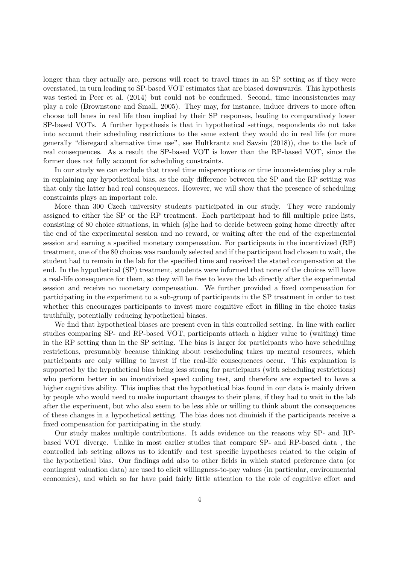longer than they actually are, persons will react to travel times in an SP setting as if they were overstated, in turn leading to SP-based VOT estimates that are biased downwards. This hypothesis was tested in Peer et al. (2014) but could not be confirmed. Second, time inconsistencies may play a role (Brownstone and Small, 2005). They may, for instance, induce drivers to more often choose toll lanes in real life than implied by their SP responses, leading to comparatively lower SP-based VOTs. A further hypothesis is that in hypothetical settings, respondents do not take into account their scheduling restrictions to the same extent they would do in real life (or more generally "disregard alternative time use", see Hultkrantz and Savsin (2018)), due to the lack of real consequences. As a result the SP-based VOT is lower than the RP-based VOT, since the former does not fully account for scheduling constraints.

In our study we can exclude that travel time misperceptions or time inconsistencies play a role in explaining any hypothetical bias, as the only difference between the SP and the RP setting was that only the latter had real consequences. However, we will show that the presence of scheduling constraints plays an important role.

More than 300 Czech university students participated in our study. They were randomly assigned to either the SP or the RP treatment. Each participant had to fill multiple price lists, consisting of 80 choice situations, in which (s)he had to decide between going home directly after the end of the experimental session and no reward, or waiting after the end of the experimental session and earning a specified monetary compensation. For participants in the incentivized (RP) treatment, one of the 80 choices was randomly selected and if the participant had chosen to wait, the student had to remain in the lab for the specified time and received the stated compensation at the end. In the hypothetical (SP) treatment, students were informed that none of the choices will have a real-life consequence for them, so they will be free to leave the lab directly after the experimental session and receive no monetary compensation. We further provided a fixed compensation for participating in the experiment to a sub-group of participants in the SP treatment in order to test whether this encourages participants to invest more cognitive effort in filling in the choice tasks truthfully, potentially reducing hypothetical biases.

We find that hypothetical biases are present even in this controlled setting. In line with earlier studies comparing SP- and RP-based VOT, participants attach a higher value to (waiting) time in the RP setting than in the SP setting. The bias is larger for participants who have scheduling restrictions, presumably because thinking about rescheduling takes up mental resources, which participants are only willing to invest if the real-life consequences occur. This explanation is supported by the hypothetical bias being less strong for participants (with scheduling restrictions) who perform better in an incentivized speed coding test, and therefore are expected to have a higher cognitive ability. This implies that the hypothetical bias found in our data is mainly driven by people who would need to make important changes to their plans, if they had to wait in the lab after the experiment, but who also seem to be less able or willing to think about the consequences of these changes in a hypothetical setting. The bias does not diminish if the participants receive a fixed compensation for participating in the study.

Our study makes multiple contributions. It adds evidence on the reasons why SP- and RPbased VOT diverge. Unlike in most earlier studies that compare SP- and RP-based data , the controlled lab setting allows us to identify and test specific hypotheses related to the origin of the hypothetical bias. Our findings add also to other fields in which stated preference data (or contingent valuation data) are used to elicit willingness-to-pay values (in particular, environmental economics), and which so far have paid fairly little attention to the role of cognitive effort and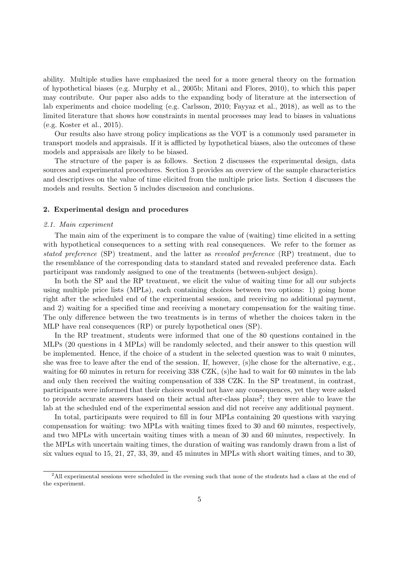ability. Multiple studies have emphasized the need for a more general theory on the formation of hypothetical biases (e.g. Murphy et al., 2005b; Mitani and Flores, 2010), to which this paper may contribute. Our paper also adds to the expanding body of literature at the intersection of lab experiments and choice modeling (e.g. Carlsson, 2010; Fayyaz et al., 2018), as well as to the limited literature that shows how constraints in mental processes may lead to biases in valuations (e.g. Koster et al., 2015).

Our results also have strong policy implications as the VOT is a commonly used parameter in transport models and appraisals. If it is afflicted by hypothetical biases, also the outcomes of these models and appraisals are likely to be biased.

The structure of the paper is as follows. Section 2 discusses the experimental design, data sources and experimental procedures. Section 3 provides an overview of the sample characteristics and descriptives on the value of time elicited from the multiple price lists. Section 4 discusses the models and results. Section 5 includes discussion and conclusions.

#### 2. Experimental design and procedures

#### 2.1. Main experiment

The main aim of the experiment is to compare the value of (waiting) time elicited in a setting with hypothetical consequences to a setting with real consequences. We refer to the former as stated preference (SP) treatment, and the latter as revealed preference (RP) treatment, due to the resemblance of the corresponding data to standard stated and revealed preference data. Each participant was randomly assigned to one of the treatments (between-subject design).

In both the SP and the RP treatment, we elicit the value of waiting time for all our subjects using multiple price lists (MPLs), each containing choices between two options: 1) going home right after the scheduled end of the experimental session, and receiving no additional payment, and 2) waiting for a specified time and receiving a monetary compensation for the waiting time. The only difference between the two treatments is in terms of whether the choices taken in the MLP have real consequences (RP) or purely hypothetical ones (SP).

In the RP treatment, students were informed that one of the 80 questions contained in the MLPs (20 questions in 4 MPLs) will be randomly selected, and their answer to this question will be implemented. Hence, if the choice of a student in the selected question was to wait 0 minutes, she was free to leave after the end of the session. If, however, (s)he chose for the alternative, e.g., waiting for 60 minutes in return for receiving 338 CZK, (s) he had to wait for 60 minutes in the lab and only then received the waiting compensation of 338 CZK. In the SP treatment, in contrast, participants were informed that their choices would not have any consequences, yet they were asked to provide accurate answers based on their actual after-class plans<sup>2</sup>; they were able to leave the lab at the scheduled end of the experimental session and did not receive any additional payment.

In total, participants were required to fill in four MPLs containing 20 questions with varying compensation for waiting: two MPLs with waiting times fixed to 30 and 60 minutes, respectively, and two MPLs with uncertain waiting times with a mean of 30 and 60 minutes, respectively. In the MPLs with uncertain waiting times, the duration of waiting was randomly drawn from a list of six values equal to 15, 21, 27, 33, 39, and 45 minutes in MPLs with short waiting times, and to 30,

<sup>&</sup>lt;sup>2</sup>All experimental sessions were scheduled in the evening such that none of the students had a class at the end of the experiment.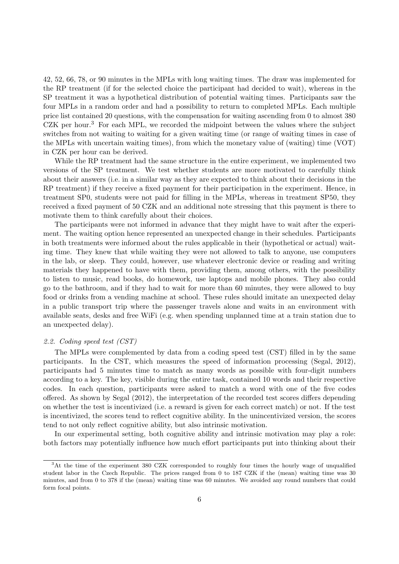42, 52, 66, 78, or 90 minutes in the MPLs with long waiting times. The draw was implemented for the RP treatment (if for the selected choice the participant had decided to wait), whereas in the SP treatment it was a hypothetical distribution of potential waiting times. Participants saw the four MPLs in a random order and had a possibility to return to completed MPLs. Each multiple price list contained 20 questions, with the compensation for waiting ascending from 0 to almost 380 CZK per hour.<sup>3</sup> For each MPL, we recorded the midpoint between the values where the subject switches from not waiting to waiting for a given waiting time (or range of waiting times in case of the MPLs with uncertain waiting times), from which the monetary value of (waiting) time (VOT) in CZK per hour can be derived.

While the RP treatment had the same structure in the entire experiment, we implemented two versions of the SP treatment. We test whether students are more motivated to carefully think about their answers (i.e. in a similar way as they are expected to think about their decisions in the RP treatment) if they receive a fixed payment for their participation in the experiment. Hence, in treatment SP0, students were not paid for filling in the MPLs, whereas in treatment SP50, they received a fixed payment of 50 CZK and an additional note stressing that this payment is there to motivate them to think carefully about their choices.

The participants were not informed in advance that they might have to wait after the experiment. The waiting option hence represented an unexpected change in their schedules. Participants in both treatments were informed about the rules applicable in their (hypothetical or actual) waiting time. They knew that while waiting they were not allowed to talk to anyone, use computers in the lab, or sleep. They could, however, use whatever electronic device or reading and writing materials they happened to have with them, providing them, among others, with the possibility to listen to music, read books, do homework, use laptops and mobile phones. They also could go to the bathroom, and if they had to wait for more than 60 minutes, they were allowed to buy food or drinks from a vending machine at school. These rules should imitate an unexpected delay in a public transport trip where the passenger travels alone and waits in an environment with available seats, desks and free WiFi (e.g. when spending unplanned time at a train station due to an unexpected delay).

#### 2.2. Coding speed test (CST)

The MPLs were complemented by data from a coding speed test (CST) filled in by the same participants. In the CST, which measures the speed of information processing (Segal, 2012), participants had 5 minutes time to match as many words as possible with four-digit numbers according to a key. The key, visible during the entire task, contained 10 words and their respective codes. In each question, participants were asked to match a word with one of the five codes offered. As shown by Segal (2012), the interpretation of the recorded test scores differs depending on whether the test is incentivized (i.e. a reward is given for each correct match) or not. If the test is incentivized, the scores tend to reflect cognitive ability. In the unincentivized version, the scores tend to not only reflect cognitive ability, but also intrinsic motivation.

In our experimental setting, both cognitive ability and intrinsic motivation may play a role: both factors may potentially influence how much effort participants put into thinking about their

<sup>&</sup>lt;sup>3</sup>At the time of the experiment 380 CZK corresponded to roughly four times the hourly wage of unqualified student labor in the Czech Republic. The prices ranged from 0 to 187 CZK if the (mean) waiting time was 30 minutes, and from 0 to 378 if the (mean) waiting time was 60 minutes. We avoided any round numbers that could form focal points.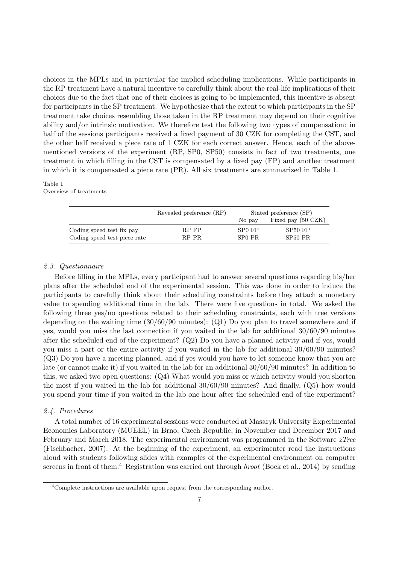choices in the MPLs and in particular the implied scheduling implications. While participants in the RP treatment have a natural incentive to carefully think about the real-life implications of their choices due to the fact that one of their choices is going to be implemented, this incentive is absent for participants in the SP treatment. We hypothesize that the extent to which participants in the SP treatment take choices resembling those taken in the RP treatment may depend on their cognitive ability and/or intrinsic motivation. We therefore test the following two types of compensation: in half of the sessions participants received a fixed payment of 30 CZK for completing the CST, and the other half received a piece rate of 1 CZK for each correct answer. Hence, each of the abovementioned versions of the experiment (RP, SP0, SP50) consists in fact of two treatments, one treatment in which filling in the CST is compensated by a fixed pay (FP) and another treatment in which it is compensated a piece rate (PR). All six treatments are summarized in Table 1.

#### Table 1 Overview of treatments

|                              | Revealed preference (RP) | Stated preference (SP) |                     |
|------------------------------|--------------------------|------------------------|---------------------|
|                              |                          | No pay                 | Fixed pay (50 CZK)  |
| Coding speed test fix pay    | RP FP                    | SP <sub>0</sub> FP     | SP <sub>50</sub> FP |
| Coding speed test piece rate | RP PR                    | SPO PR                 | SP50 PR             |

#### 2.3. Questionnaire

Before filling in the MPLs, every participant had to answer several questions regarding his/her plans after the scheduled end of the experimental session. This was done in order to induce the participants to carefully think about their scheduling constraints before they attach a monetary value to spending additional time in the lab. There were five questions in total. We asked the following three yes/no questions related to their scheduling constraints, each with tree versions depending on the waiting time  $(30/60/90 \text{ minutes})$ :  $(Q1)$  Do you plan to travel somewhere and if yes, would you miss the last connection if you waited in the lab for additional 30/60/90 minutes after the scheduled end of the experiment? (Q2) Do you have a planned activity and if yes, would you miss a part or the entire activity if you waited in the lab for additional 30/60/90 minutes? (Q3) Do you have a meeting planned, and if yes would you have to let someone know that you are late (or cannot make it) if you waited in the lab for an additional 30/60/90 minutes? In addition to this, we asked two open questions: (Q4) What would you miss or which activity would you shorten the most if you waited in the lab for additional 30/60/90 minutes? And finally, (Q5) how would you spend your time if you waited in the lab one hour after the scheduled end of the experiment?

#### 2.4. Procedures

A total number of 16 experimental sessions were conducted at Masaryk University Experimental Economics Laboratory (MUEEL) in Brno, Czech Republic, in November and December 2017 and February and March 2018. The experimental environment was programmed in the Software *zTree* (Fischbacher, 2007). At the beginning of the experiment, an experimenter read the instructions aloud with students following slides with examples of the experimental environment on computer screens in front of them.<sup>4</sup> Registration was carried out through *hroot* (Bock et al., 2014) by sending

<sup>&</sup>lt;sup>4</sup>Complete instructions are available upon request from the corresponding author.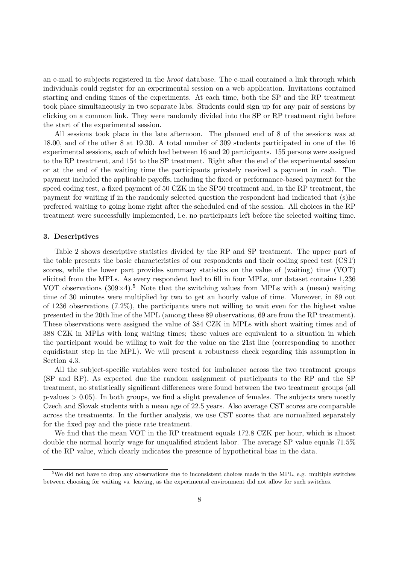an e-mail to subjects registered in the *hroot* database. The e-mail contained a link through which individuals could register for an experimental session on a web application. Invitations contained starting and ending times of the experiments. At each time, both the SP and the RP treatment took place simultaneously in two separate labs. Students could sign up for any pair of sessions by clicking on a common link. They were randomly divided into the SP or RP treatment right before the start of the experimental session.

All sessions took place in the late afternoon. The planned end of 8 of the sessions was at 18.00, and of the other 8 at 19.30. A total number of 309 students participated in one of the 16 experimental sessions, each of which had between 16 and 20 participants. 155 persons were assigned to the RP treatment, and 154 to the SP treatment. Right after the end of the experimental session or at the end of the waiting time the participants privately received a payment in cash. The payment included the applicable payoffs, including the fixed or performance-based payment for the speed coding test, a fixed payment of 50 CZK in the SP50 treatment and, in the RP treatment, the payment for waiting if in the randomly selected question the respondent had indicated that (s)he preferred waiting to going home right after the scheduled end of the session. All choices in the RP treatment were successfully implemented, i.e. no participants left before the selected waiting time.

#### 3. Descriptives

Table 2 shows descriptive statistics divided by the RP and SP treatment. The upper part of the table presents the basic characteristics of our respondents and their coding speed test (CST) scores, while the lower part provides summary statistics on the value of (waiting) time (VOT) elicited from the MPLs. As every respondent had to fill in four MPLs, our dataset contains 1,236 VOT observations  $(309\times4)$ .<sup>5</sup> Note that the switching values from MPLs with a (mean) waiting time of 30 minutes were multiplied by two to get an hourly value of time. Moreover, in 89 out of 1236 observations (7.2%), the participants were not willing to wait even for the highest value presented in the 20th line of the MPL (among these 89 observations, 69 are from the RP treatment). These observations were assigned the value of 384 CZK in MPLs with short waiting times and of 388 CZK in MPLs with long waiting times; these values are equivalent to a situation in which the participant would be willing to wait for the value on the 21st line (corresponding to another equidistant step in the MPL). We will present a robustness check regarding this assumption in Section 4.3.

All the subject-specific variables were tested for imbalance across the two treatment groups (SP and RP). As expected due the random assignment of participants to the RP and the SP treatment, no statistically significant differences were found between the two treatment groups (all p-values > 0.05). In both groups, we find a slight prevalence of females. The subjects were mostly Czech and Slovak students with a mean age of 22.5 years. Also average CST scores are comparable across the treatments. In the further analysis, we use CST scores that are normalized separately for the fixed pay and the piece rate treatment.

We find that the mean VOT in the RP treatment equals 172.8 CZK per hour, which is almost double the normal hourly wage for unqualified student labor. The average SP value equals 71.5% of the RP value, which clearly indicates the presence of hypothetical bias in the data.

<sup>&</sup>lt;sup>5</sup>We did not have to drop any observations due to inconsistent choices made in the MPL, e.g. multiple switches between choosing for waiting vs. leaving, as the experimental environment did not allow for such switches.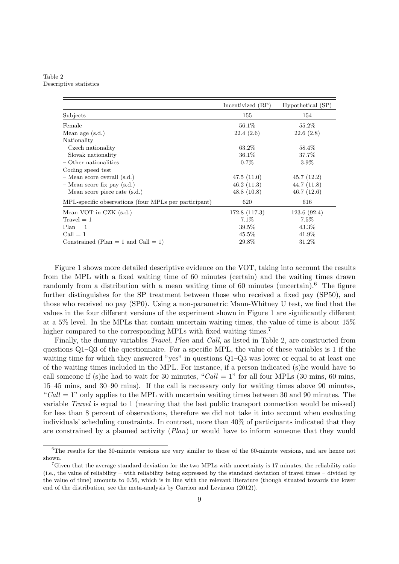Table 2 Descriptive statistics

|                                                       | Incentivized (RP) | Hypothetical (SP) |
|-------------------------------------------------------|-------------------|-------------------|
| Subjects                                              | 155               | 154               |
| Female                                                | 56.1\%            | 55.2\%            |
| Mean age $(s.d.)$                                     | 22.4(2.6)         | 22.6(2.8)         |
| Nationality                                           |                   |                   |
| $\sim$ Czech nationality                              | 63.2\%            | 58.4\%            |
| - Slovak nationality                                  | 36.1%             | 37.7%             |
| $-$ Other nationalities                               | $0.7\%$           | $3.9\%$           |
| Coding speed test                                     |                   |                   |
| - Mean score overall (s.d.)                           | 47.5(11.0)        | 45.7(12.2)        |
| $-$ Mean score fix pay (s.d.)                         | 46.2(11.3)        | 44.7(11.8)        |
| $-$ Mean score piece rate (s.d.)                      | 48.8 $(10.8)$     | 46.7(12.6)        |
| MPL-specific observations (four MPLs per participant) | 620               | 616               |
| Mean VOT in CZK (s.d.)                                | 172.8 (117.3)     | 123.6(92.4)       |
| $\text{Travel} = 1$                                   | $7.1\%$           | $7.5\%$           |
| $Plan = 1$                                            | $39.5\%$          | 43.3%             |
| $Call = 1$                                            | 45.5%             | 41.9%             |
| Constrained (Plan = 1 and Call = 1)                   | 29.8%             | 31.2%             |

Figure 1 shows more detailed descriptive evidence on the VOT, taking into account the results from the MPL with a fixed waiting time of 60 minutes (certain) and the waiting times drawn randomly from a distribution with a mean waiting time of 60 minutes (uncertain).<sup>6</sup> The figure further distinguishes for the SP treatment between those who received a fixed pay (SP50), and those who received no pay (SP0). Using a non-parametric Mann-Whitney U test, we find that the values in the four different versions of the experiment shown in Figure 1 are significantly different at a 5% level. In the MPLs that contain uncertain waiting times, the value of time is about 15% higher compared to the corresponding MPLs with fixed waiting times.<sup>7</sup>

Finally, the dummy variables Travel, Plan and Call, as listed in Table 2, are constructed from questions Q1–Q3 of the questionnaire. For a specific MPL, the value of these variables is 1 if the waiting time for which they answered "yes" in questions  $Q1-Q3$  was lower or equal to at least one of the waiting times included in the MPL. For instance, if a person indicated (s)he would have to call someone if (s)he had to wait for 30 minutes, "Call = 1" for all four MPLs (30 mins, 60 mins, 15–45 mins, and 30–90 mins). If the call is necessary only for waiting times above 90 minutes, "Call  $= 1$ " only applies to the MPL with uncertain waiting times between 30 and 90 minutes. The variable Travel is equal to 1 (meaning that the last public transport connection would be missed) for less than 8 percent of observations, therefore we did not take it into account when evaluating individuals' scheduling constraints. In contrast, more than 40% of participants indicated that they are constrained by a planned activity  $(Plan)$  or would have to inform someone that they would

 $6$ The results for the 30-minute versions are very similar to those of the 60-minute versions, and are hence not shown.

<sup>7</sup>Given that the average standard deviation for the two MPLs with uncertainty is 17 minutes, the reliability ratio (i.e., the value of reliability – with reliability being expressed by the standard deviation of travel times – divided by the value of time) amounts to 0.56, which is in line with the relevant literature (though situated towards the lower end of the distribution, see the meta-analysis by Carrion and Levinson (2012)).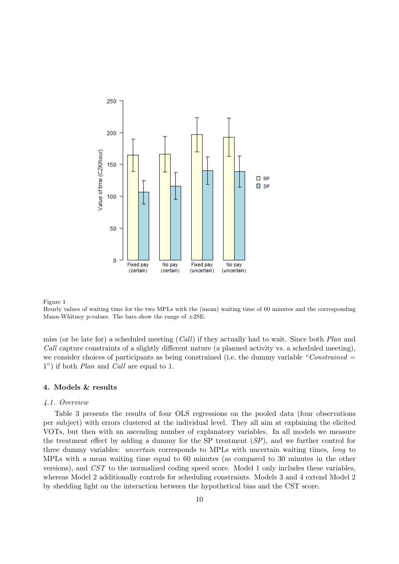

Figure 1

Hourly values of waiting time for the two MPLs with the (mean) waiting time of 60 minutes and the corresponding Mann-Whitney p-values. The bars show the range of  $\pm$ 2SE.

miss (or be late for) a scheduled meeting (Call) if they actually had to wait. Since both Plan and Call capture constraints of a slightly different nature (a planned activity vs. a scheduled meeting), we consider choices of participants as being constrained (i.e. the dummy variable "Constrained  $=$ 1") if both Plan and Call are equal to 1.

#### 4. Models & results

#### 4.1. Overview

Table 3 presents the results of four OLS regressions on the pooled data (four observations per subject) with errors clustered at the individual level. They all aim at explaining the elicited VOTs, but then with an ascending number of explanatory variables. In all models we measure the treatment effect by adding a dummy for the SP treatment (SP), and we further control for three dummy variables: uncertain corresponds to MPLs with uncertain waiting times, long to MPLs with a mean waiting time equal to 60 minutes (as compared to 30 minutes in the other versions), and CST to the normalized coding speed score. Model 1 only includes these variables, whereas Model 2 additionally controls for scheduling constraints. Models 3 and 4 extend Model 2 by shedding light on the interaction between the hypothetical bias and the CST score.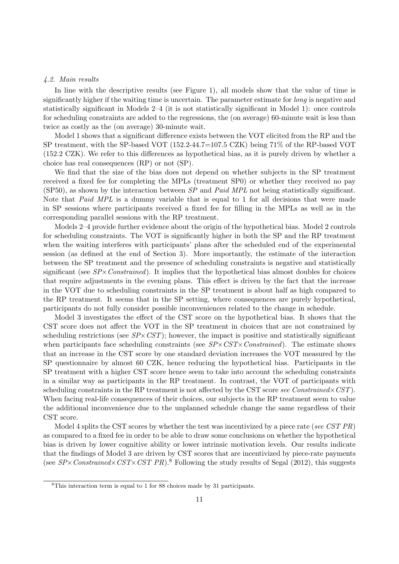#### 4.2. Main results

In line with the descriptive results (see Figure 1), all models show that the value of time is significantly higher if the waiting time is uncertain. The parameter estimate for long is negative and statistically significant in Models 2–4 (it is not statistically significant in Model 1): once controls for scheduling constraints are added to the regressions, the (on average) 60-minute wait is less than twice as costly as the (on average) 30-minute wait.

Model 1 shows that a significant difference exists between the VOT elicited from the RP and the SP treatment, with the SP-based VOT (152.2-44.7=107.5 CZK) being 71% of the RP-based VOT (152.2 CZK). We refer to this differences as hypothetical bias, as it is purely driven by whether a choice has real consequences (RP) or not (SP).

We find that the size of the bias does not depend on whether subjects in the SP treatment received a fixed fee for completing the MPLs (treatment SP0) or whether they received no pay (SP50), as shown by the interaction between SP and Paid MPL not being statistically significant. Note that *Paid MPL* is a dummy variable that is equal to 1 for all decisions that were made in SP sessions where participants received a fixed fee for filling in the MPLs as well as in the corresponding parallel sessions with the RP treatment.

Models 2–4 provide further evidence about the origin of the hypothetical bias. Model 2 controls for scheduling constraints. The VOT is significantly higher in both the SP and the RP treatment when the waiting interferes with participants' plans after the scheduled end of the experimental session (as defined at the end of Section 3). More importantly, the estimate of the interaction between the SP treatment and the presence of scheduling constraints is negative and statistically significant (see  $SP \times Constrained$ ). It implies that the hypothetical bias almost doubles for choices that require adjustments in the evening plans. This effect is driven by the fact that the increase in the VOT due to scheduling constraints in the SP treatment is about half as high compared to the RP treatment. It seems that in the SP setting, where consequences are purely hypothetical, participants do not fully consider possible inconveniences related to the change in schedule.

Model 3 investigates the effect of the CST score on the hypothetical bias. It shows that the CST score does not affect the VOT in the SP treatment in choices that are not constrained by scheduling restrictions (see  $SP \times CST$ ); however, the impact is positive and statistically significant when participants face scheduling constraints (see  $SP \times CST \times Constrained$ ). The estimate shows that an increase in the CST score by one standard deviation increases the VOT measured by the SP questionnaire by almost 60 CZK, hence reducing the hypothetical bias. Participants in the SP treatment with a higher CST score hence seem to take into account the scheduling constraints in a similar way as participants in the RP treatment. In contrast, the VOT of participants with scheduling constraints in the RP treatment is not affected by the CST score see Constrained $\times CST$ ). When facing real-life consequences of their choices, our subjects in the RP treatment seem to value the additional inconvenience due to the unplanned schedule change the same regardless of their CST score.

Model 4 splits the CST scores by whether the test was incentivized by a piece rate (see CST PR) as compared to a fixed fee in order to be able to draw some conclusions on whether the hypothetical bias is driven by lower cognitive ability or lower intrinsic motivation levels. Our results indicate that the findings of Model 3 are driven by CST scores that are incentivized by piece-rate payments (see  $SP \times Constrained \times CST \times CST PR$ ).<sup>8</sup> Following the study results of Segal (2012), this suggests

<sup>8</sup>This interaction term is equal to 1 for 88 choices made by 31 participants.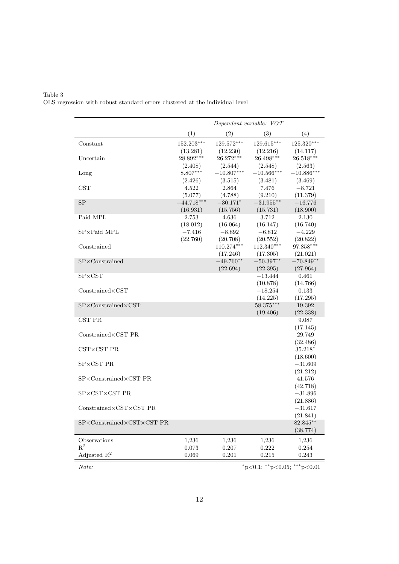|                                                                                    | Dependent variable: VOT |                          |                                          |                         |  |
|------------------------------------------------------------------------------------|-------------------------|--------------------------|------------------------------------------|-------------------------|--|
|                                                                                    | (1)                     | (2)                      | (3)                                      | (4)                     |  |
| Constant                                                                           | $152.203***$            | $129.572***$             | $129.615***$                             | 125.320***              |  |
|                                                                                    | (13.281)                | (12.230)                 | (12.216)                                 | (14.117)                |  |
| Uncertain                                                                          | 28.892***               | $26.272***$              | 26.498***                                | $26.518***$             |  |
|                                                                                    | (2.408)<br>$8.807***$   | (2.544)<br>$-10.807***$  | (2.548)<br>$-10.566***$                  | (2.563)<br>$-10.886***$ |  |
| Long                                                                               | (2.426)                 | (3.515)                  | (3.481)                                  | (3.469)                 |  |
| $\operatorname{CST}$                                                               | 4.522                   | 2.864                    | 7.476                                    | $-8.721$                |  |
|                                                                                    | (5.077)                 | (4.788)                  | (9.210)                                  | (11.379)                |  |
| <b>SP</b>                                                                          | $-44.718***$            | $-30.171*$               | $-31.955***$                             | $-16.776$               |  |
|                                                                                    | (16.931)                | (15.756)                 | (15.731)                                 | (18.900)                |  |
| Paid MPL                                                                           | 2.753                   | 4.636                    | 3.712                                    | 2.130                   |  |
|                                                                                    | (18.012)                | (16.064)                 | (16.147)                                 | (16.740)                |  |
| $SP \times$ Paid MPL                                                               | $-7.416$                | $-8.892$                 | $-6.812$                                 | $-4.229$                |  |
|                                                                                    | (22.760)                | (20.708)<br>$110.274***$ | (20.552)<br>$112.340***$                 | (20.822)<br>97.858***   |  |
| Constrained                                                                        |                         | (17.246)                 | (17.305)                                 |                         |  |
| $SP \times Constrained$                                                            |                         | $-49.760**$              | $-50.397**$                              | (21.021)<br>$-70.849**$ |  |
|                                                                                    |                         | (22.694)                 | (22.395)                                 | (27.964)                |  |
| $SP \times CST$                                                                    |                         |                          | $-13.444$                                | 0.461                   |  |
|                                                                                    |                         |                          | (10.878)                                 | (14.766)                |  |
| ConstructXCST                                                                      |                         |                          | $-18.254$                                | 0.133                   |  |
|                                                                                    |                         |                          | (14.225)                                 | (17.295)                |  |
| $SP \times Constrained \times CST$                                                 |                         |                          | 58.375***                                | 19.392                  |  |
|                                                                                    |                         |                          | (19.406)                                 | (22.338)                |  |
| CST PR                                                                             |                         |                          |                                          | 9.087                   |  |
| Constrained $\times$ CST PR                                                        |                         |                          |                                          | (17.145)<br>29.749      |  |
|                                                                                    |                         |                          |                                          | (32.486)                |  |
| $CST \times CST$ PR                                                                |                         |                          |                                          | $35.218*$               |  |
|                                                                                    |                         |                          |                                          | (18.600)                |  |
| $SP \times CST$ PR                                                                 |                         |                          |                                          | $-31.609$               |  |
|                                                                                    |                         |                          |                                          | (21.212)                |  |
| $SP \times Constrained \times CST$ PR                                              |                         |                          |                                          | 41.576                  |  |
|                                                                                    |                         |                          |                                          | (42.718)                |  |
| $SP \times CST \times CST$ PR                                                      |                         |                          |                                          | $-31.896$               |  |
| $ConstructXCST \times CST$ PR                                                      |                         |                          |                                          | (21.886)<br>$-31.617$   |  |
|                                                                                    |                         |                          |                                          | (21.841)                |  |
| $\text{SP}\!\times\!\text{Constrained}\!\times\!\text{CST}\!\times\!\text{CST}$ PR |                         |                          |                                          | 82.845**                |  |
|                                                                                    |                         |                          |                                          | (38.774)                |  |
| Observations                                                                       | 1,236                   | 1,236                    | 1,236                                    | 1,236                   |  |
| $R^2$                                                                              | 0.073                   | 0.207                    | 0.222                                    | 0.254                   |  |
| Adjusted $R^2$                                                                     | 0.069                   | 0.201                    | 0.215                                    | $0.243\,$               |  |
| Note:                                                                              |                         |                          | $*_{p<0.1;}$ $*_{p<0.05;}$ $*_{*p<0.01}$ |                         |  |

Table 3 OLS regression with robust standard errors clustered at the individual level

12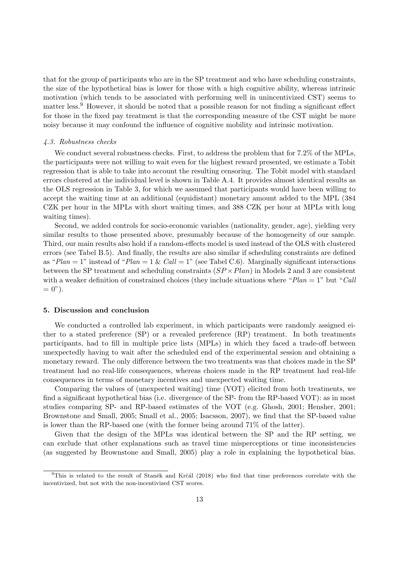that for the group of participants who are in the SP treatment and who have scheduling constraints, the size of the hypothetical bias is lower for those with a high cognitive ability, whereas intrinsic motivation (which tends to be associated with performing well in unincentivized CST) seems to matter less.<sup>9</sup> However, it should be noted that a possible reason for not finding a significant effect for those in the fixed pay treatment is that the corresponding measure of the CST might be more noisy because it may confound the influence of cognitive mobility and intrinsic motivation.

#### 4.3. Robustness checks

We conduct several robustness checks. First, to address the problem that for  $7.2\%$  of the MPLs, the participants were not willing to wait even for the highest reward presented, we estimate a Tobit regression that is able to take into account the resulting censoring. The Tobit model with standard errors clustered at the individual level is shown in Table A.4. It provides almost identical results as the OLS regression in Table 3, for which we assumed that participants would have been willing to accept the waiting time at an additional (equidistant) monetary amount added to the MPL (384 CZK per hour in the MPLs with short waiting times, and 388 CZK per hour at MPLs with long waiting times).

Second, we added controls for socio-economic variables (nationality, gender, age), yielding very similar results to those presented above, presumably because of the homogeneity of our sample. Third, our main results also hold if a random-effects model is used instead of the OLS with clustered errors (see Tabel B.5). And finally, the results are also similar if scheduling constraints are defined as "Plan = 1" instead of "Plan = 1 & Call = 1" (see Tabel C.6). Marginally significant interactions between the SP treatment and scheduling constraints  $(SP \times Plan)$  in Models 2 and 3 are consistent with a weaker definition of constrained choices (they include situations where " $Plan = 1$ " but "Call"  $= 0$ ").

#### 5. Discussion and conclusion

We conducted a controlled lab experiment, in which participants were randomly assigned either to a stated preference (SP) or a revealed preference (RP) treatment. In both treatments participants, had to fill in multiple price lists (MPLs) in which they faced a trade-off between unexpectedly having to wait after the scheduled end of the experimental session and obtaining a monetary reward. The only difference between the two treatments was that choices made in the SP treatment had no real-life consequences, whereas choices made in the RP treatment had real-life consequences in terms of monetary incentives and unexpected waiting time.

Comparing the values of (unexpected waiting) time (VOT) elicited from both treatments, we find a significant hypothetical bias (i.e. divergence of the SP- from the RP-based VOT): as in most studies comparing SP- and RP-based estimates of the VOT (e.g. Ghosh, 2001; Hensher, 2001; Brownstone and Small, 2005; Small et al., 2005; Isacsson, 2007), we find that the SP-based value is lower than the RP-based one (with the former being around 71% of the latter).

Given that the design of the MPLs was identical between the SP and the RP setting, we can exclude that other explanations such as travel time misperceptions or time inconsistencies (as suggested by Brownstone and Small, 2005) play a role in explaining the hypothetical bias.

<sup>&</sup>lt;sup>9</sup>This is related to the result of Staněk and Krčál (2018) who find that time preferences correlate with the incentivized, but not with the non-incentivized CST scores.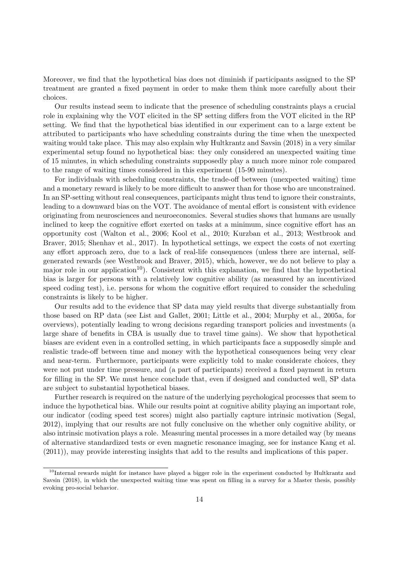Moreover, we find that the hypothetical bias does not diminish if participants assigned to the SP treatment are granted a fixed payment in order to make them think more carefully about their choices.

Our results instead seem to indicate that the presence of scheduling constraints plays a crucial role in explaining why the VOT elicited in the SP setting differs from the VOT elicited in the RP setting. We find that the hypothetical bias identified in our experiment can to a large extent be attributed to participants who have scheduling constraints during the time when the unexpected waiting would take place. This may also explain why Hultkrantz and Savsin (2018) in a very similar experimental setup found no hypothetical bias: they only considered an unexpected waiting time of 15 minutes, in which scheduling constraints supposedly play a much more minor role compared to the range of waiting times considered in this experiment (15-90 minutes).

For individuals with scheduling constraints, the trade-off between (unexpected waiting) time and a monetary reward is likely to be more difficult to answer than for those who are unconstrained. In an SP-setting without real consequences, participants might thus tend to ignore their constraints, leading to a downward bias on the VOT. The avoidance of mental effort is consistent with evidence originating from neurosciences and neuroeconomics. Several studies shows that humans are usually inclined to keep the cognitive effort exerted on tasks at a minimum, since cognitive effort has an opportunity cost (Walton et al., 2006; Kool et al., 2010; Kurzban et al., 2013; Westbrook and Braver, 2015; Shenhav et al., 2017). In hypothetical settings, we expect the costs of not exerting any effort approach zero, due to a lack of real-life consequences (unless there are internal, selfgenerated rewards (see Westbrook and Braver, 2015), which, however, we do not believe to play a major role in our application<sup>10</sup>). Consistent with this explanation, we find that the hypothetical bias is larger for persons with a relatively low cognitive ability (as measured by an incentivized speed coding test), i.e. persons for whom the cognitive effort required to consider the scheduling constraints is likely to be higher.

Our results add to the evidence that SP data may yield results that diverge substantially from those based on RP data (see List and Gallet, 2001; Little et al., 2004; Murphy et al., 2005a, for overviews), potentially leading to wrong decisions regarding transport policies and investments (a large share of benefits in CBA is usually due to travel time gains). We show that hypothetical biases are evident even in a controlled setting, in which participants face a supposedly simple and realistic trade-off between time and money with the hypothetical consequences being very clear and near-term. Furthermore, participants were explicitly told to make considerate choices, they were not put under time pressure, and (a part of participants) received a fixed payment in return for filling in the SP. We must hence conclude that, even if designed and conducted well, SP data are subject to substantial hypothetical biases.

Further research is required on the nature of the underlying psychological processes that seem to induce the hypothetical bias. While our results point at cognitive ability playing an important role, our indicator (coding speed test scores) might also partially capture intrinsic motivation (Segal, 2012), implying that our results are not fully conclusive on the whether only cognitive ability, or also intrinsic motivation plays a role. Measuring mental processes in a more detailed way (by means of alternative standardized tests or even magnetic resonance imaging, see for instance Kang et al. (2011)), may provide interesting insights that add to the results and implications of this paper.

<sup>&</sup>lt;sup>10</sup>Internal rewards might for instance have played a bigger role in the experiment conducted by Hultkrantz and Savsin (2018), in which the unexpected waiting time was spent on filling in a survey for a Master thesis, possibly evoking pro-social behavior.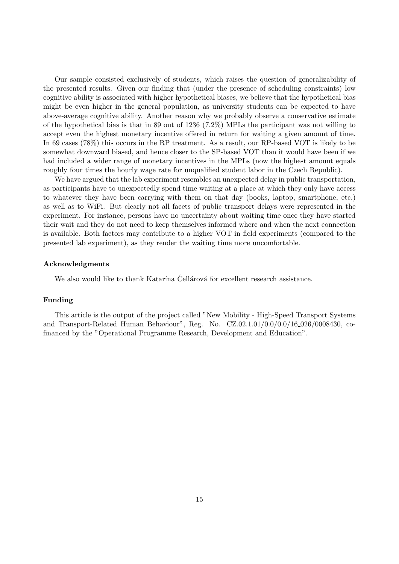Our sample consisted exclusively of students, which raises the question of generalizability of the presented results. Given our finding that (under the presence of scheduling constraints) low cognitive ability is associated with higher hypothetical biases, we believe that the hypothetical bias might be even higher in the general population, as university students can be expected to have above-average cognitive ability. Another reason why we probably observe a conservative estimate of the hypothetical bias is that in 89 out of 1236 (7.2%) MPLs the participant was not willing to accept even the highest monetary incentive offered in return for waiting a given amount of time. In 69 cases (78%) this occurs in the RP treatment. As a result, our RP-based VOT is likely to be somewhat downward biased, and hence closer to the SP-based VOT than it would have been if we had included a wider range of monetary incentives in the MPLs (now the highest amount equals roughly four times the hourly wage rate for unqualified student labor in the Czech Republic).

We have argued that the lab experiment resembles an unexpected delay in public transportation, as participants have to unexpectedly spend time waiting at a place at which they only have access to whatever they have been carrying with them on that day (books, laptop, smartphone, etc.) as well as to WiFi. But clearly not all facets of public transport delays were represented in the experiment. For instance, persons have no uncertainty about waiting time once they have started their wait and they do not need to keep themselves informed where and when the next connection is available. Both factors may contribute to a higher VOT in field experiments (compared to the presented lab experiment), as they render the waiting time more uncomfortable.

#### Acknowledgments

We also would like to thank Katarína Čellárová for excellent research assistance.

#### Funding

This article is the output of the project called "New Mobility - High-Speed Transport Systems and Transport-Related Human Behaviour", Reg. No. CZ.02.1.01/0.0/0.0/16 026/0008430, cofinanced by the "Operational Programme Research, Development and Education".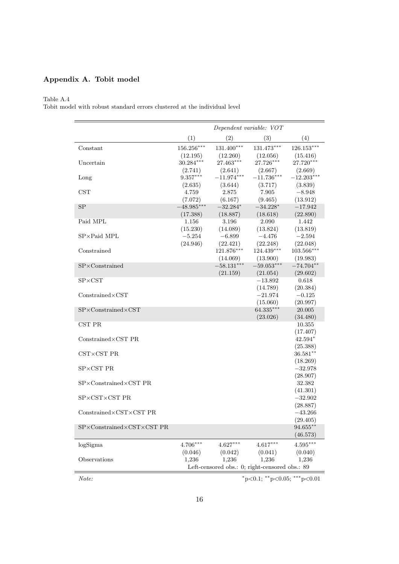## Appendix A. Tobit model

#### Table A.4

Tobit model with robust standard errors clustered at the individual level

|                                                  | Dependent variable: VOT                                 |                         |                         |                          |  |
|--------------------------------------------------|---------------------------------------------------------|-------------------------|-------------------------|--------------------------|--|
|                                                  | (1)                                                     | (2)                     | (3)                     | (4)                      |  |
| Constant                                         | $156.256***$                                            | $131.400^{***}\,$       | $131.473***$            | $126.153***$             |  |
|                                                  | (12.195)                                                | (12.260)                | (12.056)                | (15.416)                 |  |
| Uncertain                                        | $30.284***$                                             | 27.463***               | 27.726***               | 27.720***                |  |
|                                                  | (2.741)<br>$9.357***$                                   | (2.641)<br>$-11.974***$ | (2.667)<br>$-11.736***$ | (2.669)<br>$-12.203***$  |  |
| Long                                             | (2.635)                                                 | (3.644)                 | (3.717)                 | (3.839)                  |  |
| $\operatorname{CST}$                             | 4.759                                                   | 2.875                   | 7.905                   | $-8.948$                 |  |
|                                                  | (7.072)                                                 | (6.167)                 | (9.465)                 | (13.912)                 |  |
| SP                                               | $-48.985***$                                            | $-32.284*$              | $-34.228*$              | $-17.942$                |  |
|                                                  | (17.388)                                                | (18.887)                | (18.618)                | (22.890)                 |  |
| Paid MPL                                         | 1.156                                                   | 3.196                   | 2.090                   | 1.442                    |  |
|                                                  | (15.230)                                                | (14.089)                | (13.824)                | (13.819)                 |  |
| $\text{SP}{\times}\text{Paid}$ MPL               | $-5.254$                                                | $-6.899$                | $-4.476$<br>(22.248)    | $-2.594$                 |  |
| Constrained                                      | (24.946)                                                | (22.421)<br>121.876***  | $124.439***$            | (22.048)<br>$103.566***$ |  |
|                                                  |                                                         | (14.069)                | (13.900)                | (19.983)                 |  |
| $SP \times$ Constrained                          |                                                         | $-58.131***$            | $-59.053***$            | $-74.704**$              |  |
|                                                  |                                                         | (21.159)                | (21.054)                | (29.602)                 |  |
| $SP \times CST$                                  |                                                         |                         | $-13.892$               | 0.618                    |  |
|                                                  |                                                         |                         | (14.789)                | (20.384)                 |  |
| ConstructXCST                                    |                                                         |                         | $-21.974$               | $-0.125$                 |  |
|                                                  |                                                         |                         | (15.060)<br>64.335***   | (20.997)                 |  |
| $SP \times$ Constrained $\times$ CST             |                                                         |                         | (23.026)                | 20.005<br>(34.480)       |  |
| CST PR                                           |                                                         |                         |                         | 10.355                   |  |
|                                                  |                                                         |                         |                         | (17.407)                 |  |
| Constrained $\times$ CST PR                      |                                                         |                         |                         | $42.594*$                |  |
|                                                  |                                                         |                         |                         | (25.388)                 |  |
| $CST \times CST$ PR                              |                                                         |                         |                         | $36.581**$               |  |
|                                                  |                                                         |                         |                         | (18.269)                 |  |
| $SP \times CST$ PR                               |                                                         |                         |                         | $-32.978$<br>(28.907)    |  |
| $SP \times Constrained \times CST$ PR            |                                                         |                         |                         | 32.382                   |  |
|                                                  |                                                         |                         |                         | (41.301)                 |  |
| $SP \times CST \times CST$ PR                    |                                                         |                         |                         | $-32.902$                |  |
|                                                  |                                                         |                         |                         | (28.887)                 |  |
| $ConstructCST \times CST \times CST$ PR          |                                                         |                         |                         | $-43.266$                |  |
|                                                  |                                                         |                         |                         | (29.405)                 |  |
| $SP \times Constrained \times CST \times CST$ PR |                                                         |                         |                         | $94.655***$<br>(46.573)  |  |
|                                                  |                                                         |                         |                         |                          |  |
| logSigma                                         | $4.706***$                                              | $4.627***$              | $4.617***$              | $4.595***$               |  |
| Observations                                     | (0.046)<br>1,236                                        | (0.042)<br>1,236        | (0.041)<br>1,236        | (0.040)                  |  |
|                                                  | 1,236<br>Left-censored obs.: 0; right-censored obs.: 89 |                         |                         |                          |  |
|                                                  |                                                         |                         |                         |                          |  |

 $Note:$   $*_{p<0.1; *_{p<0.05; * *_{p<0.01}}$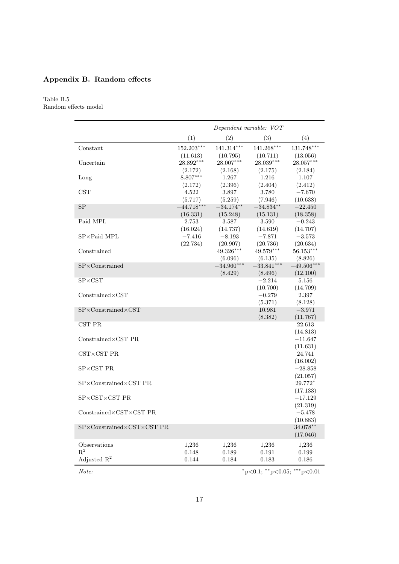### Appendix B. Random effects

#### Table B.5 Random effects model

|                                                    | Dependent variable: VOT |                         |                         |                         |
|----------------------------------------------------|-------------------------|-------------------------|-------------------------|-------------------------|
|                                                    | (1)                     | (2)                     | (3)                     | (4)                     |
| Constant                                           | $152.203***$            | $141.314***$            | $141.268***$            | $131.748***$            |
|                                                    | (11.613)                | (10.795)                | (10.711)                | (13.056)                |
| Uncertain                                          | 28.892***               | 28.007***               | $28.039***$             | 28.057***               |
|                                                    | (2.172)                 | (2.168)                 | (2.175)                 | (2.184)                 |
| Long                                               | $8.807***$              | 1.267                   | 1.216                   | 1.107                   |
| $\operatorname{CST}$                               | (2.172)<br>4.522        | (2.396)<br>3.897        | (2.404)<br>3.780        | (2.412)<br>$-7.670$     |
|                                                    | (5.717)                 | (5.259)                 | (7.946)                 | (10.638)                |
| <b>SP</b>                                          | $-44.718***$            | $-34.174***$            | $-34.834***$            | $-22.450$               |
|                                                    | (16.331)                | (15.248)                | (15.131)                | (18.358)                |
| Paid MPL                                           | 2.753                   | 3.587                   | 3.590                   | $-0.243$                |
|                                                    | (16.024)                | (14.737)                | (14.619)                | (14.707)                |
| $SP \times$ Paid MPL                               | $-7.416$                | $-8.193$                | $-7.871$                | $-3.573$                |
|                                                    | (22.734)                | (20.907)                | (20.736)                | (20.634)                |
| Constrained                                        |                         | 49.326***               | 49.579***               | $56.153***$             |
| $SP \times$ Constrained                            |                         | (6.096)<br>$-34.960***$ | (6.135)<br>$-33.841***$ | (8.826)<br>$-49.506***$ |
|                                                    |                         | (8.429)                 | (8.496)                 | (12.100)                |
| $SP \times CST$                                    |                         |                         | $-2.214$                | 5.156                   |
|                                                    |                         |                         | (10.700)                | (14.709)                |
| ConstructXCST                                      |                         |                         | $-0.279$                | 2.397                   |
|                                                    |                         |                         | (5.371)                 | (8.128)                 |
| $SP \times Constrained \times CST$                 |                         |                         | 10.981                  | $-3.971$                |
|                                                    |                         |                         | (8.382)                 | (11.767)                |
| CST PR                                             |                         |                         |                         | 22.613                  |
| $Constructed \times \text{CST PR}$                 |                         |                         |                         | (14.813)<br>$-11.647$   |
|                                                    |                         |                         |                         | (11.631)                |
| $CST \times CST$ PR                                |                         |                         |                         | 24.741                  |
|                                                    |                         |                         |                         | (16.002)                |
| $SP \times CST$ PR                                 |                         |                         |                         | $-28.858$               |
|                                                    |                         |                         |                         | (21.057)                |
| $SP \times$ Constrained $\times$ CST PR            |                         |                         |                         | $29.772*$               |
|                                                    |                         |                         |                         | (17.133)                |
| $SP \times CST \times CST$ PR                      |                         |                         |                         | $-17.129$               |
| $Construct \times \text{CST} \times \text{CST}$ PR |                         |                         |                         | (21.319)<br>$-5.478$    |
|                                                    |                         |                         |                         | (10.883)                |
| $SP \times Constrained \times CST \times CST$ PR   |                         |                         |                         | 34.078**                |
|                                                    |                         |                         |                         | (17.046)                |
| Observations                                       | 1,236                   | 1,236                   | 1,236                   | 1,236                   |
| $\mathrm{R}^2$                                     | 0.148                   | 0.189                   | 0.191                   | 0.199                   |
| Adjusted $R^2$                                     | 0.144                   | 0.184                   | 0.183                   | 0.186                   |

 $Note:$   $\frac{\ast p}{0.1}$ ;  $\frac{\ast p}{0.05}$ ;  $\frac{\ast \ast p}{0.01}$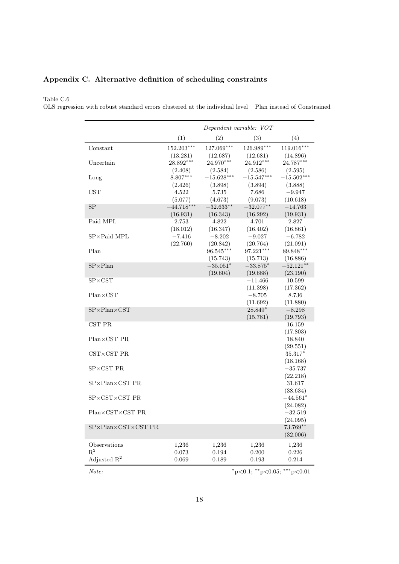|  |  |  | Appendix C. Alternative definition of scheduling constraints |  |
|--|--|--|--------------------------------------------------------------|--|
|--|--|--|--------------------------------------------------------------|--|

Table C.6

OLS regression with robust standard errors clustered at the individual level – Plan instead of Constrained

|                                           | Dependent variable: VOT |              |              |                         |
|-------------------------------------------|-------------------------|--------------|--------------|-------------------------|
|                                           | (1)                     | (2)          | (3)          | (4)                     |
| Constant                                  | $152.203***$            | $127.069***$ | $126.989***$ | $119.016***$            |
|                                           | (13.281)                | (12.687)     | (12.681)     | (14.896)                |
| Uncertain                                 | 28.892***               | 24.970***    | 24.912***    | 24.787***               |
|                                           | (2.408)                 | (2.584)      | (2.586)      | (2.595)                 |
| Long                                      | $8.807***$              | $-15.628***$ | $-15.547***$ | $-15.502^{***}$         |
|                                           | (2.426)                 | (3.898)      | (3.894)      | (3.888)                 |
| <b>CST</b>                                | 4.522                   | 5.735        | 7.686        | $-9.947$                |
|                                           | (5.077)                 | (4.673)      | (9.073)      | (10.618)                |
| SP                                        | $-44.718***$            | $-32.633***$ | $-32.077***$ | $-14.763$               |
|                                           | (16.931)                | (16.343)     | (16.292)     | (19.931)                |
| Paid MPL                                  | 2.753                   | 4.822        | 4.701        | 2.827                   |
|                                           | (18.012)                | (16.347)     | (16.402)     | (16.861)                |
| $SP \times$ Paid MPL                      | $-7.416$                | $-8.202$     | $-9.027$     | $-6.782$                |
|                                           | (22.760)                | (20.842)     | (20.764)     | (21.091)                |
| Plan                                      |                         | 96.545***    | 97.221***    | 89.848***               |
|                                           |                         | (15.743)     | (15.713)     | (16.886)                |
| $SP \times Plan$                          |                         | $-35.051^*$  | $-33.875*$   | $-52.121**$             |
|                                           |                         | (19.604)     | (19.688)     | (23.190)                |
| $SP \times CST$                           |                         |              | $-11.466$    | 10.599                  |
|                                           |                         |              | (11.398)     | (17.362)                |
| $Plan \times CST$                         |                         |              | $-8.705$     | 8.736                   |
|                                           |                         |              | (11.692)     | (11.880)                |
| $SP \times Plan \times CST$               |                         |              | 28.849*      | $-8.298$                |
|                                           |                         |              | (15.781)     | (19.793)                |
| CST PR                                    |                         |              |              | 16.159                  |
|                                           |                         |              |              | (17.803)                |
| $Plan \times CST$ PR                      |                         |              |              | 18.840                  |
|                                           |                         |              |              | (29.551)                |
| $CST \times CST$ PR                       |                         |              |              | 35.317*                 |
|                                           |                         |              |              | (18.168)                |
| $SP \times CST$ PR                        |                         |              |              | $-35.737$               |
|                                           |                         |              |              | (22.218)                |
| $SP \times Plan \times CST$ PR            |                         |              |              | 31.617                  |
| $SP \times CST \times CST$ PR             |                         |              |              | (38.634)<br>$-44.561^*$ |
|                                           |                         |              |              |                         |
| $Plan \times CST \times CST$ PR           |                         |              |              | (24.082)<br>$-32.519$   |
|                                           |                         |              |              | (24.095)                |
| $SP \times Plan \times CST \times CST$ PR |                         |              |              | $73.769***$             |
|                                           |                         |              |              | (32.006)                |
| Observations                              | 1,236                   | 1,236        | 1,236        | 1,236                   |
| $R^2$                                     | 0.073                   | 0.194        | 0.200        | 0.226                   |
| Adjusted $R^2$                            | 0.069                   | 0.189        | 0.193        | 0.214                   |

 $Note:$   $*_{p<0.1;}$   $*_{p<0.05;}$   $*_{p<0.01}$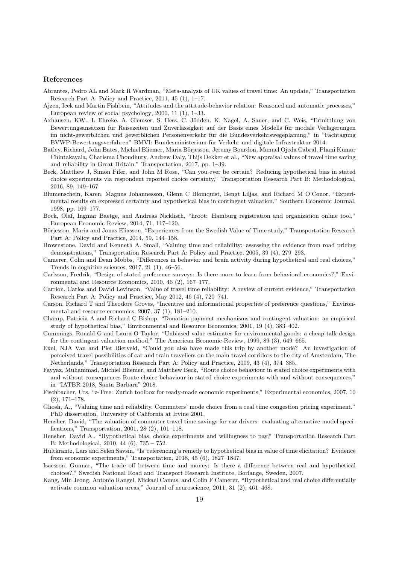#### References

- Abrantes, Pedro AL and Mark R Wardman, "Meta-analysis of UK values of travel time: An update," Transportation Research Part A: Policy and Practice, 2011, 45 (1), 1–17.
- Ajzen, Icek and Martin Fishbein, "Attitudes and the attitude-behavior relation: Reasoned and automatic processes," European review of social psychology, 2000, 11 (1), 1–33.
- Axhausen, KW., I. Ehreke, A. Glemser, S. Hess, C. J¨odden, K. Nagel, A. Sauer, and C. Weis, "Ermittlung von Bewertungsansätzen für Reisezeiten und Zuverlässigkeit auf der Basis eines Modells für modale Verlagerungen im nicht-gewerblichen und gewerblichen Personenverkehr für die Bundesverkehrswegeplanung," in "Fachtagung BVWP-Bewertungsverfahren" BMVI: Bundesministerium für Verkehr und digitale Infrastruktur 2014.
- Batley, Richard, John Bates, Michiel Bliemer, Maria Börjesson, Jeremy Bourdon, Manuel Ojeda Cabral, Phani Kumar Chintakayala, Charisma Choudhury, Andrew Daly, Thijs Dekker et al., "New appraisal values of travel time saving and reliability in Great Britain," Transportation, 2017, pp. 1–39.
- Beck, Matthew J, Simon Fifer, and John M Rose, "Can you ever be certain? Reducing hypothetical bias in stated choice experiments via respondent reported choice certainty," Transportation Research Part B: Methodological, 2016, 89, 149–167.
- Blumenschein, Karen, Magnus Johannesson, Glenn C Blomquist, Bengt Liljas, and Richard M O'Conor, "Experimental results on expressed certainty and hypothetical bias in contingent valuation," Southern Economic Journal, 1998, pp. 169–177.
- Bock, Olaf, Ingmar Baetge, and Andreas Nicklisch, "hroot: Hamburg registration and organization online tool," European Economic Review, 2014, 71, 117–120.
- Börjesson, Maria and Jonas Eliasson, "Experiences from the Swedish Value of Time study," Transportation Research Part A: Policy and Practice, 2014, 59, 144–158.
- Brownstone, David and Kenneth A. Small, "Valuing time and reliability: assessing the evidence from road pricing demonstrations," Transportation Research Part A: Policy and Practice, 2005, 39 (4), 279–293.
- Camerer, Colin and Dean Mobbs, "Differences in behavior and brain activity during hypothetical and real choices," Trends in cognitive sciences, 2017, 21 (1), 46–56.
- Carlsson, Fredrik, "Design of stated preference surveys: Is there more to learn from behavioral economics?," Environmental and Resource Economics, 2010, 46 (2), 167–177.
- Carrion, Carlos and David Levinson, "Value of travel time reliability: A review of current evidence," Transportation Research Part A: Policy and Practice, May 2012, 46 (4), 720–741.
- Carson, Richard T and Theodore Groves, "Incentive and informational properties of preference questions," Environmental and resource economics, 2007, 37 (1), 181–210.
- Champ, Patricia A and Richard C Bishop, "Donation payment mechanisms and contingent valuation: an empirical study of hypothetical bias," Environmental and Resource Economics, 2001, 19 (4), 383–402.
- Cummings, Ronald G and Laura O Taylor, "Unbiased value estimates for environmental goods: a cheap talk design for the contingent valuation method," The American Economic Review, 1999, 89 (3), 649–665.
- Exel, NJA Van and Piet Rietveld, "Could you also have made this trip by another mode? An investigation of perceived travel possibilities of car and train travellers on the main travel corridors to the city of Amsterdam, The Netherlands," Transportation Research Part A: Policy and Practice, 2009, 43 (4), 374–385.
- Fayyaz, Muhammad, Michiel Bliemer, and Matthew Beck, "Route choice behaviour in stated choice experiments with and without consequences Route choice behaviour in stated choice experiments with and without consequences," in "IATBR 2018, Santa Barbara" 2018.
- Fischbacher, Urs, "z-Tree: Zurich toolbox for ready-made economic experiments," Experimental economics, 2007, 10 (2), 171–178.
- Ghosh, A., "Valuing time and reliability. Commuters' mode choice from a real time congestion pricing experiment." PhD dissertation, University of California at Irvine 2001.
- Hensher, David, "The valuation of commuter travel time savings for car drivers: evaluating alternative model specifications," Transportation, 2001, 28 (2), 101–118.
- Hensher, David A., "Hypothetical bias, choice experiments and willingness to pay," Transportation Research Part B: Methodological, 2010, 44 (6), 735 – 752.
- Hultkrantz, Lars and Selen Savsin, "Is 'referencing'a remedy to hypothetical bias in value of time elicitation? Evidence from economic experiments," Transportation, 2018, 45 (6), 1827–1847.
- Isacsson, Gunnar, "The trade off between time and money: Is there a difference between real and hypothetical choices?," Swedish National Road and Transport Research Institute, Borlange, Sweden, 2007.
- Kang, Min Jeong, Antonio Rangel, Mickael Camus, and Colin F Camerer, "Hypothetical and real choice differentially activate common valuation areas," Journal of neuroscience, 2011, 31 (2), 461–468.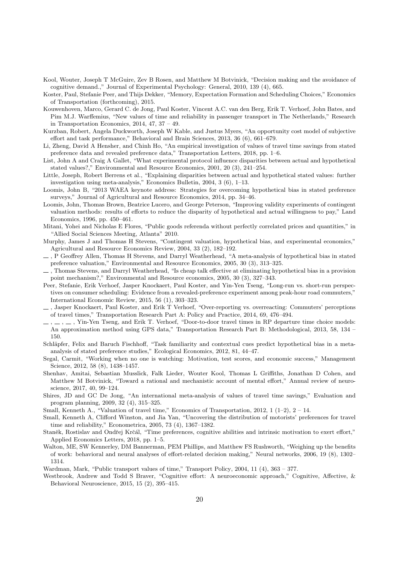- Kool, Wouter, Joseph T McGuire, Zev B Rosen, and Matthew M Botvinick, "Decision making and the avoidance of cognitive demand.," Journal of Experimental Psychology: General, 2010, 139 (4), 665.
- Koster, Paul, Stefanie Peer, and Thijs Dekker, "Memory, Expectation Formation and Scheduling Choices," Economics of Transportation (forthcoming), 2015.
- Kouwenhoven, Marco, Gerard C. de Jong, Paul Koster, Vincent A.C. van den Berg, Erik T. Verhoef, John Bates, and Pim M.J. Warffemius, "New values of time and reliability in passenger transport in The Netherlands," Research in Transportation Economics, 2014, 47, 37 – 49.
- Kurzban, Robert, Angela Duckworth, Joseph W Kable, and Justus Myers, "An opportunity cost model of subjective effort and task performance," Behavioral and Brain Sciences, 2013, 36 (6), 661–679.
- Li, Zheng, David A Hensher, and Chinh Ho, "An empirical investigation of values of travel time savings from stated preference data and revealed preference data," Transportation Letters, 2018, pp. 1–6.
- List, John A and Craig A Gallet, "What experimental protocol influence disparities between actual and hypothetical stated values?," Environmental and Resource Economics, 2001, 20 (3), 241–254.
- Little, Joseph, Robert Berrens et al., "Explaining disparities between actual and hypothetical stated values: further investigation using meta-analysis," Economics Bulletin, 2004, 3 (6), 1–13.
- Loomis, John B, "2013 WAEA keynote address: Strategies for overcoming hypothetical bias in stated preference surveys," Journal of Agricultural and Resource Economics, 2014, pp. 34–46.
- Loomis, John, Thomas Brown, Beatrice Lucero, and George Peterson, "Improving validity experiments of contingent valuation methods: results of efforts to reduce the disparity of hypothetical and actual willingness to pay," Land Economics, 1996, pp. 450–461.
- Mitani, Yohei and Nicholas E Flores, "Public goods referenda without perfectly correlated prices and quantities," in "Allied Social Sciences Meeting, Atlanta" 2010.
- Murphy, James J and Thomas H Stevens, "Contingent valuation, hypothetical bias, and experimental economics," Agricultural and Resource Economics Review, 2004, 33 (2), 182–192.
- , P Geoffrey Allen, Thomas H Stevens, and Darryl Weatherhead, "A meta-analysis of hypothetical bias in stated preference valuation," Environmental and Resource Economics, 2005, 30 (3), 313–325.
- , Thomas Stevens, and Darryl Weatherhead, "Is cheap talk effective at eliminating hypothetical bias in a provision point mechanism?," Environmental and Resource economics, 2005, 30 (3), 327–343.
- Peer, Stefanie, Erik Verhoef, Jasper Knockaert, Paul Koster, and Yin-Yen Tseng, "Long-run vs. short-run perspectives on consumer scheduling: Evidence from a revealed-preference experiment among peak-hour road commuters," International Economic Review, 2015, 56 (1), 303–323.
- , Jasper Knockaert, Paul Koster, and Erik T Verhoef, "Over-reporting vs. overreacting: Commuters' perceptions of travel times," Transportation Research Part A: Policy and Practice, 2014, 69, 476–494.
- $\ldots$ ,  $\ldots$ , Yin-Yen Tseng, and Erik T. Verhoef, "Door-to-door travel times in RP departure time choice models: An approximation method using GPS data," Transportation Research Part B: Methodological, 2013, 58, 134 – 150.
- Schläpfer, Felix and Baruch Fischhoff, "Task familiarity and contextual cues predict hypothetical bias in a metaanalysis of stated preference studies," Ecological Economics, 2012, 81, 44–47.
- Segal, Carmit, "Working when no one is watching: Motivation, test scores, and economic success," Management Science, 2012, 58 (8), 1438–1457.
- Shenhav, Amitai, Sebastian Musslick, Falk Lieder, Wouter Kool, Thomas L Griffiths, Jonathan D Cohen, and Matthew M Botvinick, "Toward a rational and mechanistic account of mental effort," Annual review of neuroscience, 2017, 40, 99–124.
- Shires, JD and GC De Jong, "An international meta-analysis of values of travel time savings," Evaluation and program planning, 2009, 32 (4), 315–325.
- Small, Kenneth A., "Valuation of travel time," Economics of Transportation, 2012, 1 (1–2), 2 14.
- Small, Kenneth A, Clifford Winston, and Jia Yan, "Uncovering the distribution of motorists' preferences for travel time and reliability," Econometrica, 2005, 73 (4), 1367–1382.
- Staněk, Rostislav and Ondřej Krčál, "Time preferences, cognitive abilities and intrinsic motivation to exert effort," Applied Economics Letters, 2018, pp. 1–5.
- Walton, ME, SW Kennerley, DM Bannerman, PEM Phillips, and Matthew FS Rushworth, "Weighing up the benefits of work: behavioral and neural analyses of effort-related decision making," Neural networks, 2006, 19 (8), 1302– 1314.
- Wardman, Mark, "Public transport values of time," Transport Policy, 2004, 11 (4), 363 377.
- Westbrook, Andrew and Todd S Braver, "Cognitive effort: A neuroeconomic approach," Cognitive, Affective, & Behavioral Neuroscience, 2015, 15 (2), 395–415.